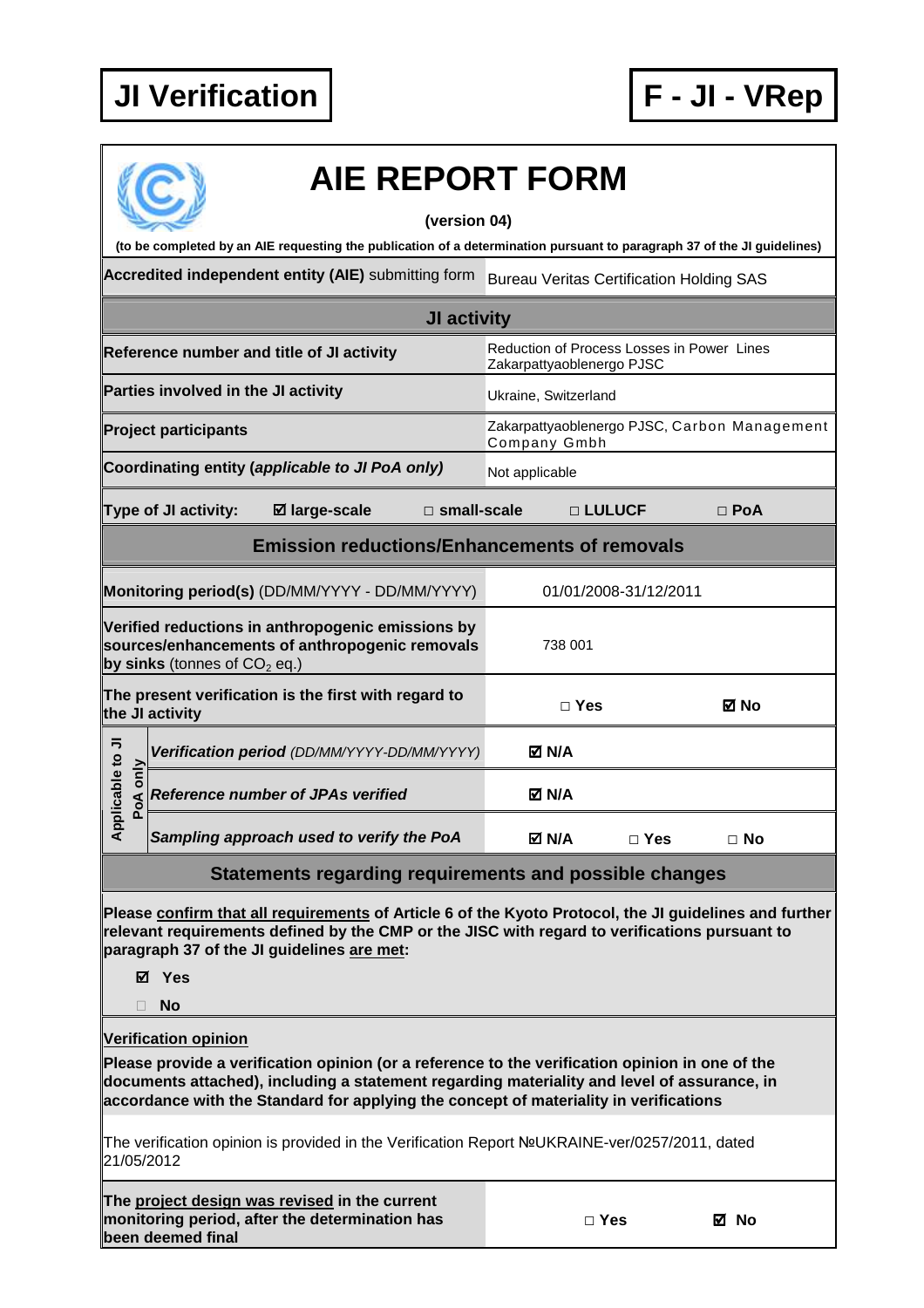

## **AIE REPORT FORM**

## **(version 04)**

**(to be completed by an AIE requesting the publication of a determination pursuant to paragraph 37 of the JI guidelines)** 

Accredited independent entity (AIE) submitting form Bureau Veritas Certification Holding SAS

| JI activity                                                                                                                           |                      |                                             |                                                                         |                                                              |          |            |            |  |
|---------------------------------------------------------------------------------------------------------------------------------------|----------------------|---------------------------------------------|-------------------------------------------------------------------------|--------------------------------------------------------------|----------|------------|------------|--|
| Reference number and title of JI activity                                                                                             |                      |                                             | Reduction of Process Losses in Power Lines<br>Zakarpattyaoblenergo PJSC |                                                              |          |            |            |  |
| Parties involved in the JI activity                                                                                                   |                      |                                             | Ukraine, Switzerland                                                    |                                                              |          |            |            |  |
| <b>Project participants</b>                                                                                                           |                      |                                             |                                                                         | Zakarpattyaoblenergo PJSC, Carbon Management<br>Company Gmbh |          |            |            |  |
| Coordinating entity (applicable to JI PoA only)                                                                                       |                      |                                             | Not applicable                                                          |                                                              |          |            |            |  |
|                                                                                                                                       | Type of JI activity: | ⊠ large-scale                               | $\square$ small-scale                                                   |                                                              | □ LULUCF |            | $\Box$ PoA |  |
| <b>Emission reductions/Enhancements of removals</b>                                                                                   |                      |                                             |                                                                         |                                                              |          |            |            |  |
| 01/01/2008-31/12/2011<br>Monitoring period(s) (DD/MM/YYYY - DD/MM/YYYY)                                                               |                      |                                             |                                                                         |                                                              |          |            |            |  |
| Verified reductions in anthropogenic emissions by<br>sources/enhancements of anthropogenic removals<br>by sinks (tonnes of $CO2$ eq.) |                      |                                             |                                                                         | 738 001                                                      |          |            |            |  |
| The present verification is the first with regard to<br>the JI activity                                                               |                      |                                             |                                                                         | $\Box$ Yes                                                   |          | M No       |            |  |
| Applicable to JI<br>only<br>PoA                                                                                                       |                      | Verification period (DD/MM/YYYY-DD/MM/YYYY) |                                                                         | M N/A                                                        |          |            |            |  |
|                                                                                                                                       |                      | <b>Reference number of JPAs verified</b>    |                                                                         | <b>Ø N/A</b>                                                 |          |            |            |  |
|                                                                                                                                       |                      | Sampling approach used to verify the PoA    |                                                                         | M N/A                                                        |          | $\Box$ Yes | $\Box$ No  |  |
| Statements regarding requirements and possible changes                                                                                |                      |                                             |                                                                         |                                                              |          |            |            |  |

**Please confirm that all requirements of Article 6 of the Kyoto Protocol, the JI guidelines and further relevant requirements defined by the CMP or the JISC with regard to verifications pursuant to paragraph 37 of the JI guidelines are met:** 

**Yes** 

**No** 

**Verification opinion**

**Please provide a verification opinion (or a reference to the verification opinion in one of the documents attached), including a statement regarding materiality and level of assurance, in accordance with the Standard for applying the concept of materiality in verifications** 

The verification opinion is provided in the Verification Report №UKRAINE-ver/0257/2011, dated 21/05/2012

| The project design was revised in the current  |
|------------------------------------------------|
| monitoring period, after the determination has |
| been deemed final                              |

**□ Yes No**